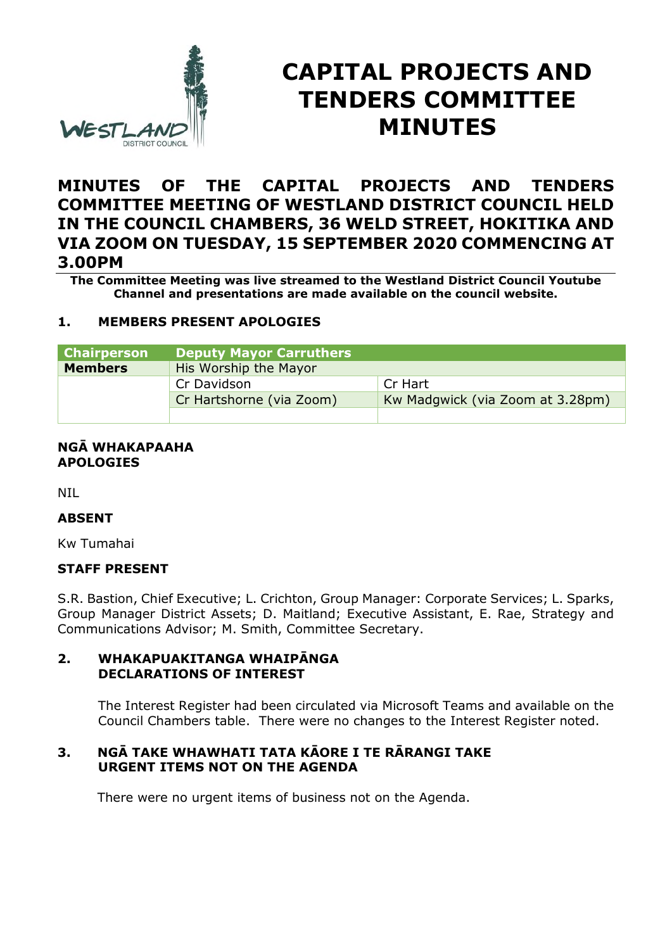

# **CAPITAL PROJECTS AND TENDERS COMMITTEE MINUTES**

# **MINUTES OF THE CAPITAL PROJECTS AND TENDERS COMMITTEE MEETING OF WESTLAND DISTRICT COUNCIL HELD IN THE COUNCIL CHAMBERS, 36 WELD STREET, HOKITIKA AND VIA ZOOM ON TUESDAY, 15 SEPTEMBER 2020 COMMENCING AT 3.00PM**

**The Committee Meeting was live streamed to the Westland District Council Youtube Channel and presentations are made available on the council website.** 

## **1. MEMBERS PRESENT APOLOGIES**

| <b>Chairperson</b> | <b>Deputy Mayor Carruthers</b> |                                  |
|--------------------|--------------------------------|----------------------------------|
| <b>Members</b>     | His Worship the Mayor          |                                  |
|                    | Cr Davidson                    | Cr Hart                          |
|                    | Cr Hartshorne (via Zoom)       | Kw Madgwick (via Zoom at 3.28pm) |
|                    |                                |                                  |

#### **NGĀ WHAKAPAAHA APOLOGIES**

NIL

#### **ABSENT**

Kw Tumahai

#### **STAFF PRESENT**

S.R. Bastion, Chief Executive; L. Crichton, Group Manager: Corporate Services; L. Sparks, Group Manager District Assets; D. Maitland; Executive Assistant, E. Rae, Strategy and Communications Advisor; M. Smith, Committee Secretary.

#### **2. WHAKAPUAKITANGA WHAIPĀNGA DECLARATIONS OF INTEREST**

The Interest Register had been circulated via Microsoft Teams and available on the Council Chambers table. There were no changes to the Interest Register noted.

## **3. NGĀ TAKE WHAWHATI TATA KĀORE I TE RĀRANGI TAKE URGENT ITEMS NOT ON THE AGENDA**

There were no urgent items of business not on the Agenda.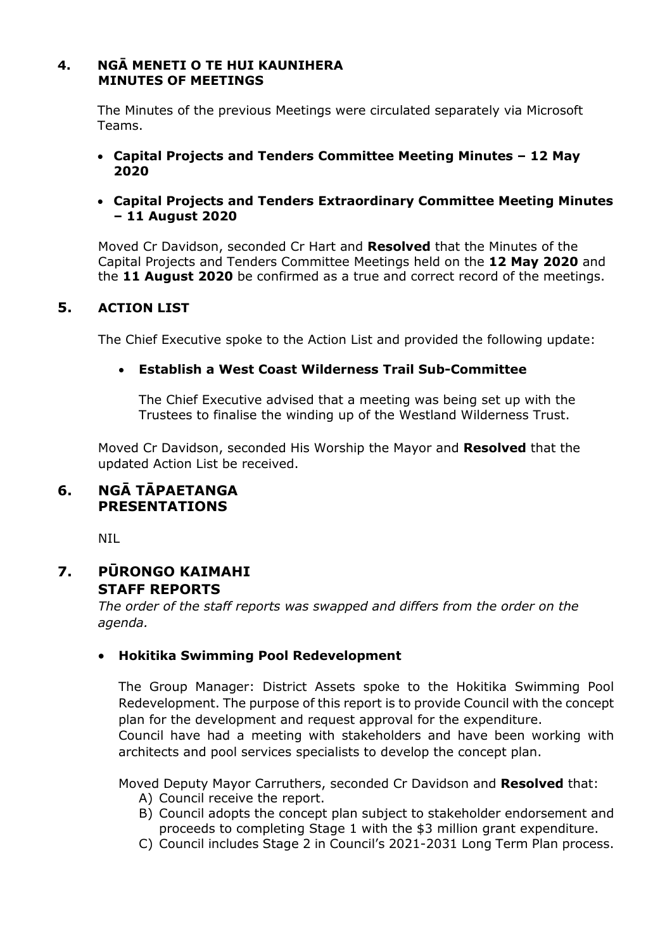#### **4. NGĀ MENETI O TE HUI KAUNIHERA MINUTES OF MEETINGS**

The Minutes of the previous Meetings were circulated separately via Microsoft Teams.

 **Capital Projects and Tenders Committee Meeting Minutes – 12 May 2020** 

#### **Capital Projects and Tenders Extraordinary Committee Meeting Minutes – 11 August 2020**

Moved Cr Davidson, seconded Cr Hart and **Resolved** that the Minutes of the Capital Projects and Tenders Committee Meetings held on the **12 May 2020** and the **11 August 2020** be confirmed as a true and correct record of the meetings.

# **5. ACTION LIST**

The Chief Executive spoke to the Action List and provided the following update:

## **Establish a West Coast Wilderness Trail Sub-Committee**

The Chief Executive advised that a meeting was being set up with the Trustees to finalise the winding up of the Westland Wilderness Trust.

Moved Cr Davidson, seconded His Worship the Mayor and **Resolved** that the updated Action List be received.

# **6. NGĀ TĀPAETANGA PRESENTATIONS**

NIL

# **7. PŪRONGO KAIMAHI STAFF REPORTS**

*The order of the staff reports was swapped and differs from the order on the agenda.* 

#### **Hokitika Swimming Pool Redevelopment**

The Group Manager: District Assets spoke to the Hokitika Swimming Pool Redevelopment. The purpose of this report is to provide Council with the concept plan for the development and request approval for the expenditure. Council have had a meeting with stakeholders and have been working with architects and pool services specialists to develop the concept plan.

Moved Deputy Mayor Carruthers, seconded Cr Davidson and **Resolved** that:

- A) Council receive the report.
- B) Council adopts the concept plan subject to stakeholder endorsement and proceeds to completing Stage 1 with the \$3 million grant expenditure.
- C) Council includes Stage 2 in Council's 2021-2031 Long Term Plan process.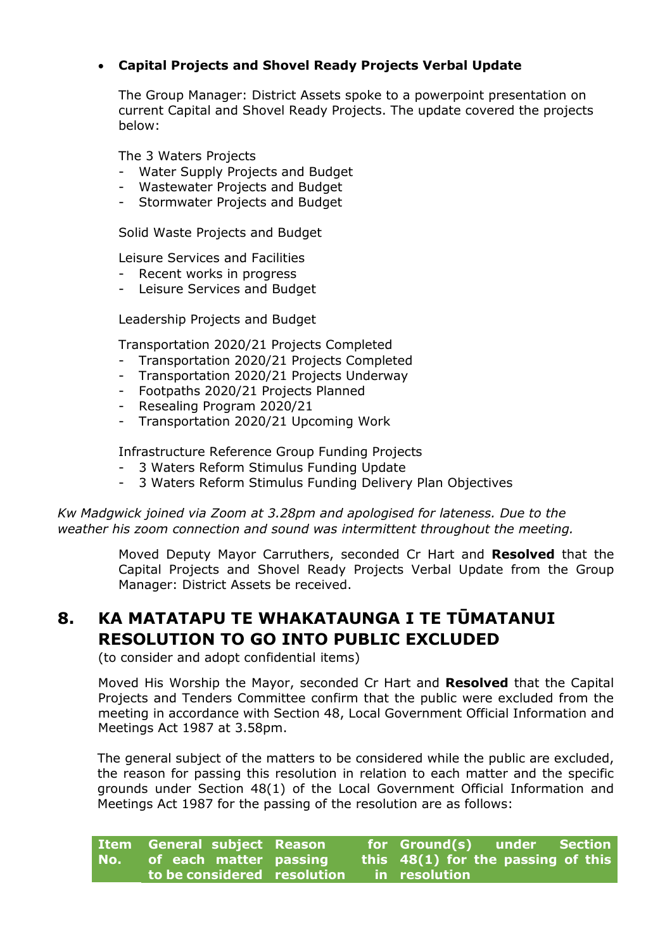# **Capital Projects and Shovel Ready Projects Verbal Update**

The Group Manager: District Assets spoke to a powerpoint presentation on current Capital and Shovel Ready Projects. The update covered the projects below:

The 3 Waters Projects

- Water Supply Projects and Budget
- Wastewater Projects and Budget
- Stormwater Projects and Budget

Solid Waste Projects and Budget

Leisure Services and Facilities

- Recent works in progress
- Leisure Services and Budget

Leadership Projects and Budget

Transportation 2020/21 Projects Completed

- Transportation 2020/21 Projects Completed
- Transportation 2020/21 Projects Underway
- Footpaths 2020/21 Projects Planned
- Resealing Program 2020/21
- Transportation 2020/21 Upcoming Work

Infrastructure Reference Group Funding Projects

- 3 Waters Reform Stimulus Funding Update
- 3 Waters Reform Stimulus Funding Delivery Plan Objectives

*Kw Madgwick joined via Zoom at 3.28pm and apologised for lateness. Due to the weather his zoom connection and sound was intermittent throughout the meeting.* 

> Moved Deputy Mayor Carruthers, seconded Cr Hart and **Resolved** that the Capital Projects and Shovel Ready Projects Verbal Update from the Group Manager: District Assets be received.

# **8. KA MATATAPU TE WHAKATAUNGA I TE TŪMATANUI RESOLUTION TO GO INTO PUBLIC EXCLUDED**

(to consider and adopt confidential items)

 Moved His Worship the Mayor, seconded Cr Hart and **Resolved** that the Capital Projects and Tenders Committee confirm that the public were excluded from the meeting in accordance with Section 48, Local Government Official Information and Meetings Act 1987 at 3.58pm.

The general subject of the matters to be considered while the public are excluded, the reason for passing this resolution in relation to each matter and the specific grounds under Section 48(1) of the Local Government Official Information and Meetings Act 1987 for the passing of the resolution are as follows:

| Item General subject Reason |  | for Ground(s) under Section        |  |
|-----------------------------|--|------------------------------------|--|
| No. of each matter passing  |  | this 48(1) for the passing of this |  |
| to be considered resolution |  | in resolution                      |  |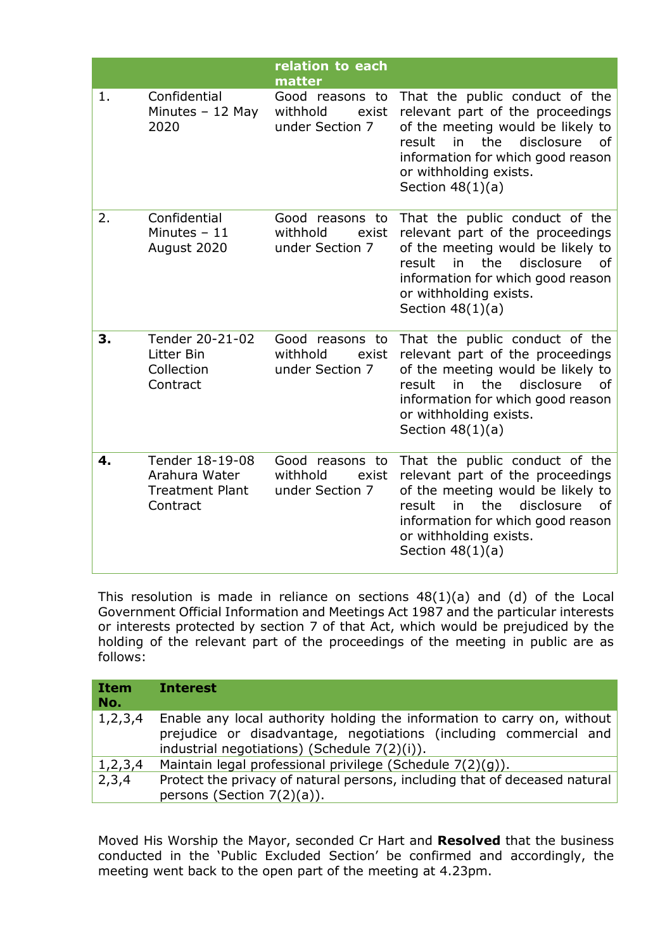|    |                                                                        | relation to each<br>matter                              |                                                                                                                                                                                                                                         |
|----|------------------------------------------------------------------------|---------------------------------------------------------|-----------------------------------------------------------------------------------------------------------------------------------------------------------------------------------------------------------------------------------------|
| 1. | Confidential<br>Minutes $-12$ May<br>2020                              | Good reasons to<br>withhold<br>exist<br>under Section 7 | That the public conduct of the<br>relevant part of the proceedings<br>of the meeting would be likely to<br>the<br>disclosure<br>result<br>in<br>οf<br>information for which good reason<br>or withholding exists.<br>Section $48(1)(a)$ |
| 2. | Confidential<br>Minutes $-11$<br>August 2020                           | Good reasons to<br>withhold<br>exist<br>under Section 7 | That the public conduct of the<br>relevant part of the proceedings<br>of the meeting would be likely to<br>the<br>disclosure<br>result<br>in<br>οf<br>information for which good reason<br>or withholding exists.<br>Section $48(1)(a)$ |
| 3. | Tender 20-21-02<br>Litter Bin<br>Collection<br>Contract                | Good reasons to<br>withhold<br>exist<br>under Section 7 | That the public conduct of the<br>relevant part of the proceedings<br>of the meeting would be likely to<br>the<br>disclosure<br>result<br>in<br>of<br>information for which good reason<br>or withholding exists.<br>Section $48(1)(a)$ |
| 4. | Tender 18-19-08<br>Arahura Water<br><b>Treatment Plant</b><br>Contract | Good reasons to<br>withhold<br>exist<br>under Section 7 | That the public conduct of the<br>relevant part of the proceedings<br>of the meeting would be likely to<br>the<br>disclosure<br>result<br>in<br>0f<br>information for which good reason<br>or withholding exists.<br>Section $48(1)(a)$ |

This resolution is made in reliance on sections 48(1)(a) and (d) of the Local Government Official Information and Meetings Act 1987 and the particular interests or interests protected by section 7 of that Act, which would be prejudiced by the holding of the relevant part of the proceedings of the meeting in public are as follows:

| <b>Item</b><br>No. | <b>Interest</b>                                                                                                                                                                              |
|--------------------|----------------------------------------------------------------------------------------------------------------------------------------------------------------------------------------------|
| 1, 2, 3, 4         | Enable any local authority holding the information to carry on, without<br>prejudice or disadvantage, negotiations (including commercial and<br>industrial negotiations) (Schedule 7(2)(i)). |
| 1, 2, 3, 4         | Maintain legal professional privilege (Schedule 7(2)(g)).                                                                                                                                    |
| 2,3,4              | Protect the privacy of natural persons, including that of deceased natural<br>persons (Section $7(2)(a)$ ).                                                                                  |

Moved His Worship the Mayor, seconded Cr Hart and **Resolved** that the business conducted in the 'Public Excluded Section' be confirmed and accordingly, the meeting went back to the open part of the meeting at 4.23pm.